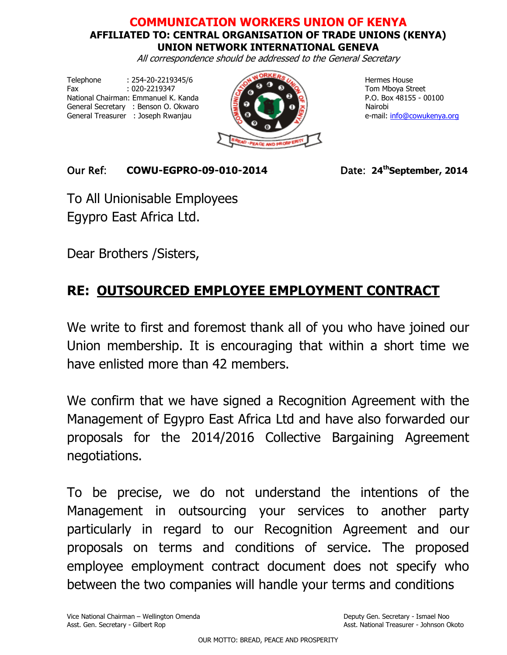## **COMMUNICATION WORKERS UNION OF KENYA AFFILIATED TO: CENTRAL ORGANISATION OF TRADE UNIONS (KENYA) UNION NETWORK INTERNATIONAL GENEVA**

All correspondence should be addressed to the General Secretary

Telephone : 254-20-2219345/6 Hermes House Fax  $.020-2219347$   $.020-2219347$   $.020-2219347$   $.020-2219347$   $.020-2219347$   $.020-2219347$   $.020-2219347$   $.020-2219347$   $.020-2219347$   $.020-2219347$   $.020-2219347$   $.020-2219347$   $.020-2219347$   $.020-2219347$   $.020-2$ National Chairman: Emmanuel K. Kanda  $\sqrt{2}$  P.O. Box 48155 - 00100 General Secretary : Benson O. Okwaro Nairobi General Treasurer : Joseph Rwanjau **e-mail: [info@cowukenya.org](mailto:info@cowukenya.org)** 



## Our Ref: **COWU-EGPRO-09-010-2014** Date: **24thSeptember, 2014**

To All Unionisable Employees Egypro East Africa Ltd.

Dear Brothers /Sisters,

## **RE: OUTSOURCED EMPLOYEE EMPLOYMENT CONTRACT**

We write to first and foremost thank all of you who have joined our Union membership. It is encouraging that within a short time we have enlisted more than 42 members.

We confirm that we have signed a Recognition Agreement with the Management of Egypro East Africa Ltd and have also forwarded our proposals for the 2014/2016 Collective Bargaining Agreement negotiations.

To be precise, we do not understand the intentions of the Management in outsourcing your services to another party particularly in regard to our Recognition Agreement and our proposals on terms and conditions of service. The proposed employee employment contract document does not specify who between the two companies will handle your terms and conditions